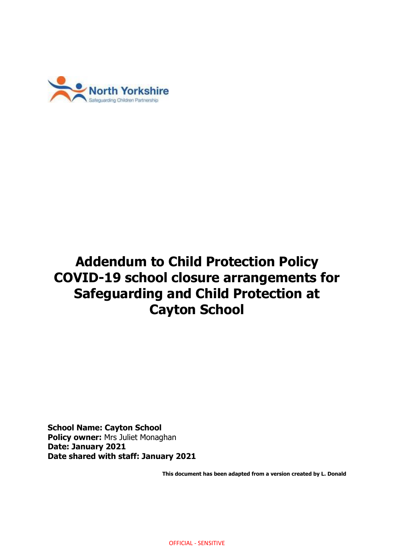

# **Addendum to Child Protection Policy COVID-19 school closure arrangements for Safeguarding and Child Protection at Cayton School**

**School Name: Cayton School Policy owner:** Mrs Juliet Monaghan **Date: January 2021 Date shared with staff: January 2021**

**This document has been adapted from a version created by L. Donald**

OFFICIAL - SENSITIVE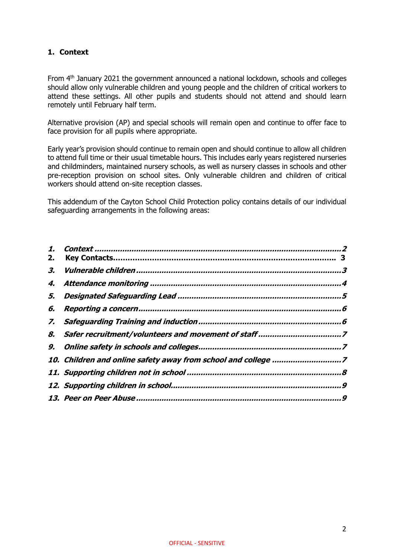# <span id="page-1-0"></span>**1. Context**

From 4<sup>th</sup> January 2021 the government announced a national lockdown, schools and colleges should allow only vulnerable children and young people and the children of critical workers to attend these settings. All other pupils and students should not attend and should learn remotely until February half term.

Alternative provision (AP) and special schools will remain open and continue to offer face to face provision for all pupils where appropriate.

Early year's provision should continue to remain open and should continue to allow all children to attend full time or their usual timetable hours. This includes early years registered nurseries and childminders, maintained nursery schools, as well as nursery classes in schools and other pre-reception provision on school sites. Only vulnerable children and children of critical workers should attend on-site reception classes.

This addendum of the Cayton School Child Protection policy contains details of our individual safeguarding arrangements in the following areas:

| 2. |                                                               |  |
|----|---------------------------------------------------------------|--|
| З. |                                                               |  |
| 4. |                                                               |  |
| 5. |                                                               |  |
| 6. |                                                               |  |
|    |                                                               |  |
| 8. |                                                               |  |
|    |                                                               |  |
|    | 10. Children and online safety away from school and college 7 |  |
|    |                                                               |  |
|    |                                                               |  |
|    |                                                               |  |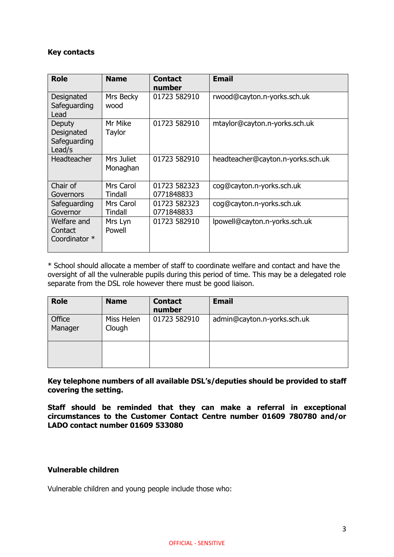## **Key contacts**

| <b>Role</b>                                    | <b>Name</b>            | <b>Contact</b><br>number   | <b>Email</b>                      |
|------------------------------------------------|------------------------|----------------------------|-----------------------------------|
| Designated<br>Safeguarding<br>Lead             | Mrs Becky<br>wood      | 01723 582910               | rwood@cayton.n-yorks.sch.uk       |
| Deputy<br>Designated<br>Safeguarding<br>Lead/s | Mr Mike<br>Taylor      | 01723 582910               | mtaylor@cayton.n-yorks.sch.uk     |
| Headteacher                                    | Mrs Juliet<br>Monaghan | 01723 582910               | headteacher@cayton.n-yorks.sch.uk |
| Chair of<br>Governors                          | Mrs Carol<br>Tindall   | 01723 582323<br>0771848833 | cog@cayton.n-yorks.sch.uk         |
| Safeguarding<br>Governor                       | Mrs Carol<br>Tindall   | 01723 582323<br>0771848833 | coq@cayton.n-yorks.sch.uk         |
| Welfare and<br>Contact<br>Coordinator *        | Mrs Lyn<br>Powell      | 01723 582910               | lpowell@cayton.n-yorks.sch.uk     |

\* School should allocate a member of staff to coordinate welfare and contact and have the oversight of all the vulnerable pupils during this period of time. This may be a delegated role separate from the DSL role however there must be good liaison.

| <b>Role</b>       | <b>Name</b>          | <b>Contact</b><br>number | <b>Email</b>                |
|-------------------|----------------------|--------------------------|-----------------------------|
| Office<br>Manager | Miss Helen<br>Clough | 01723 582910             | admin@cayton.n-yorks.sch.uk |
|                   |                      |                          |                             |

**Key telephone numbers of all available DSL's/deputies should be provided to staff covering the setting.**

**Staff should be reminded that they can make a referral in exceptional circumstances to the Customer Contact Centre number 01609 780780 and/or LADO contact number 01609 533080**

#### <span id="page-2-0"></span>**Vulnerable children**

Vulnerable children and young people include those who: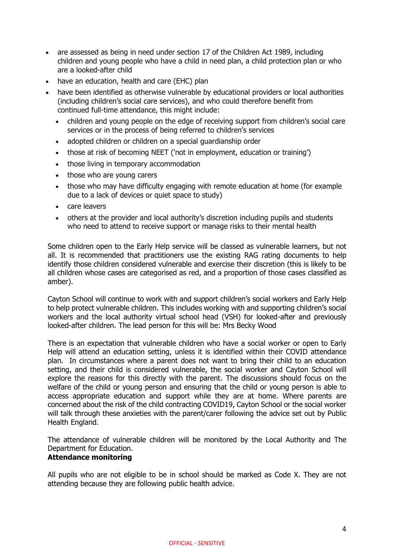- are assessed as being in need under section 17 of the Children Act 1989, including children and young people who have a child in need plan, a child protection plan or who are a looked-after child
- have an education, health and care (EHC) plan
- have been identified as otherwise vulnerable by educational providers or local authorities (including children's social care services), and who could therefore benefit from continued full-time attendance, this might include:
	- children and young people on the edge of receiving support from children's social care services or in the process of being referred to children's services
	- adopted children or children on a special guardianship order
	- those at risk of becoming NEET ('not in employment, education or training')
	- those living in temporary accommodation
	- those who are young carers
	- those who may have difficulty engaging with remote education at home (for example due to a lack of devices or quiet space to study)
	- care leavers
	- others at the provider and local authority's discretion including pupils and students who need to attend to receive support or manage risks to their mental health

Some children open to the Early Help service will be classed as vulnerable learners, but not all. It is recommended that practitioners use the existing RAG rating documents to help identify those children considered vulnerable and exercise their discretion (this is likely to be all children whose cases are categorised as red, and a proportion of those cases classified as amber).

Cayton School will continue to work with and support children's social workers and Early Help to help protect vulnerable children. This includes working with and supporting children's social workers and the local authority virtual school head (VSH) for looked-after and previously looked-after children. The lead person for this will be: Mrs Becky Wood

There is an expectation that vulnerable children who have a social worker or open to Early Help will attend an education setting, unless it is identified within their COVID attendance plan. In circumstances where a parent does not want to bring their child to an education setting, and their child is considered vulnerable, the social worker and Cayton School will explore the reasons for this directly with the parent. The discussions should focus on the welfare of the child or young person and ensuring that the child or young person is able to access appropriate education and support while they are at home. Where parents are concerned about the risk of the child contracting COVID19, Cayton School or the social worker will talk through these anxieties with the parent/carer following the advice set out by Public Health England.

<span id="page-3-0"></span>The attendance of vulnerable children will be monitored by the Local Authority and The Department for Education.

#### **Attendance monitoring**

All pupils who are not eligible to be in school should be marked as Code X. They are not attending because they are following public health advice.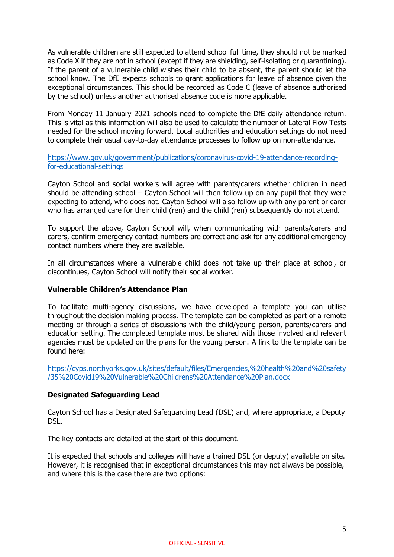As vulnerable children are still expected to attend school full time, they should not be marked as Code X if they are not in school (except if they are shielding, self-isolating or quarantining). If the parent of a vulnerable child wishes their child to be absent, the parent should let the school know. The DfE expects schools to grant applications for leave of absence given the exceptional circumstances. This should be recorded as Code C (leave of absence authorised by the school) unless another authorised absence code is more applicable.

From Monday 11 January 2021 schools need to complete the DfE daily attendance return. This is vital as this information will also be used to calculate the number of Lateral Flow Tests needed for the school moving forward. Local authorities and education settings do not need to complete their usual day-to-day attendance processes to follow up on non-attendance.

[https://www.gov.uk/government/publications/coronavirus-covid-19-attendance-recording](https://www.gov.uk/government/publications/coronavirus-covid-19-attendance-recording-for-educational-settings)[for-educational-settings](https://www.gov.uk/government/publications/coronavirus-covid-19-attendance-recording-for-educational-settings)

Cayton School and social workers will agree with parents/carers whether children in need should be attending school – Cayton School will then follow up on any pupil that they were expecting to attend, who does not. Cayton School will also follow up with any parent or carer who has arranged care for their child (ren) and the child (ren) subsequently do not attend.

To support the above, Cayton School will, when communicating with parents/carers and carers, confirm emergency contact numbers are correct and ask for any additional emergency contact numbers where they are available.

In all circumstances where a vulnerable child does not take up their place at school, or discontinues, Cayton School will notify their social worker.

#### **Vulnerable Children's Attendance Plan**

To facilitate multi-agency discussions, we have developed a template you can utilise throughout the decision making process. The template can be completed as part of a remote meeting or through a series of discussions with the child/young person, parents/carers and education setting. The completed template must be shared with those involved and relevant agencies must be updated on the plans for the young person. A link to the template can be found here:

[https://cyps.northyorks.gov.uk/sites/default/files/Emergencies,%20health%20and%20safety](https://cyps.northyorks.gov.uk/sites/default/files/Emergencies,%20health%20and%20safety/35%20Covid19%20Vulnerable%20Childrens%20Attendance%20Plan.docx) [/35%20Covid19%20Vulnerable%20Childrens%20Attendance%20Plan.docx](https://cyps.northyorks.gov.uk/sites/default/files/Emergencies,%20health%20and%20safety/35%20Covid19%20Vulnerable%20Childrens%20Attendance%20Plan.docx)

#### <span id="page-4-0"></span>**Designated Safeguarding Lead**

Cayton School has a Designated Safeguarding Lead (DSL) and, where appropriate, a Deputy DSL.

The key contacts are detailed at the start of this document.

It is expected that schools and colleges will have a trained DSL (or deputy) available on site. However, it is recognised that in exceptional circumstances this may not always be possible, and where this is the case there are two options: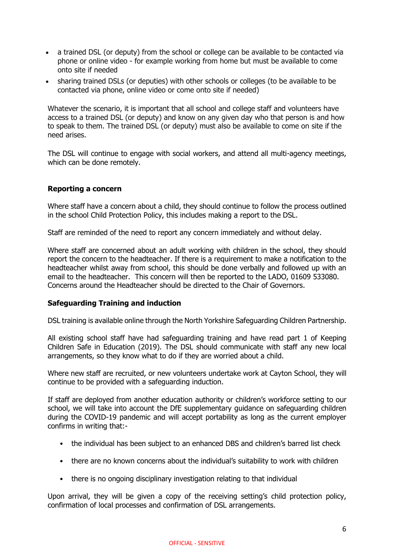- a trained DSL (or deputy) from the school or college can be available to be contacted via phone or online video - for example working from home but must be available to come onto site if needed
- sharing trained DSLs (or deputies) with other schools or colleges (to be available to be contacted via phone, online video or come onto site if needed)

Whatever the scenario, it is important that all school and college staff and volunteers have access to a trained DSL (or deputy) and know on any given day who that person is and how to speak to them. The trained DSL (or deputy) must also be available to come on site if the need arises.

The DSL will continue to engage with social workers, and attend all multi-agency meetings, which can be done remotely.

## <span id="page-5-0"></span>**Reporting a concern**

Where staff have a concern about a child, they should continue to follow the process outlined in the school Child Protection Policy, this includes making a report to the DSL.

Staff are reminded of the need to report any concern immediately and without delay.

Where staff are concerned about an adult working with children in the school, they should report the concern to the headteacher. If there is a requirement to make a notification to the headteacher whilst away from school, this should be done verbally and followed up with an email to the headteacher. This concern will then be reported to the LADO, 01609 533080. Concerns around the Headteacher should be directed to the Chair of Governors.

#### <span id="page-5-1"></span>**Safeguarding Training and induction**

DSL training is available online through the North Yorkshire Safeguarding Children Partnership.

All existing school staff have had safeguarding training and have read part 1 of Keeping Children Safe in Education (2019). The DSL should communicate with staff any new local arrangements, so they know what to do if they are worried about a child.

Where new staff are recruited, or new volunteers undertake work at Cayton School, they will continue to be provided with a safeguarding induction.

If staff are deployed from another education authority or children's workforce setting to our school, we will take into account the DfE supplementary guidance on safeguarding children during the COVID-19 pandemic and will accept portability as long as the current employer confirms in writing that:-

- the individual has been subject to an enhanced DBS and children's barred list check
- there are no known concerns about the individual's suitability to work with children
- there is no ongoing disciplinary investigation relating to that individual

Upon arrival, they will be given a copy of the receiving setting's child protection policy, confirmation of local processes and confirmation of DSL arrangements.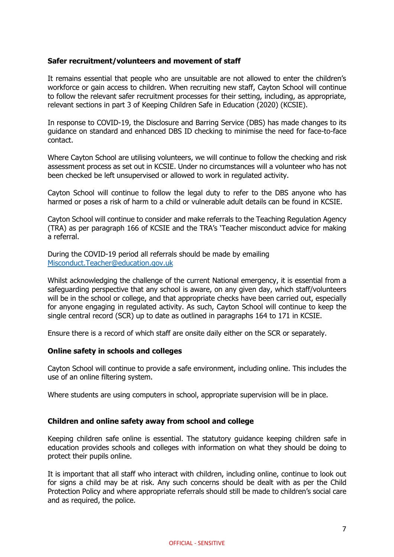#### <span id="page-6-0"></span>**Safer recruitment/volunteers and movement of staff**

It remains essential that people who are unsuitable are not allowed to enter the children's workforce or gain access to children. When recruiting new staff, Cayton School will continue to follow the relevant safer recruitment processes for their setting, including, as appropriate, relevant sections in part 3 of Keeping Children Safe in Education (2020) (KCSIE).

In response to COVID-19, the Disclosure and Barring Service (DBS) has made changes to its guidance on standard and enhanced DBS ID checking to minimise the need for face-to-face contact.

Where Cayton School are utilising volunteers, we will continue to follow the checking and risk assessment process as set out in KCSIE. Under no circumstances will a volunteer who has not been checked be left unsupervised or allowed to work in regulated activity.

Cayton School will continue to follow the legal duty to refer to the DBS anyone who has harmed or poses a risk of harm to a child or vulnerable adult details can be found in KCSIE.

Cayton School will continue to consider and make referrals to the Teaching Regulation Agency (TRA) as per paragraph 166 of KCSIE and the TRA's 'Teacher misconduct advice for making a referral.

During the COVID-19 period all referrals should be made by emailing [Misconduct.Teacher@education.gov.uk](mailto:Misconduct.Teacher@education.gov.uk)

Whilst acknowledging the challenge of the current National emergency, it is essential from a safeguarding perspective that any school is aware, on any given day, which staff/volunteers will be in the school or college, and that appropriate checks have been carried out, especially for anyone engaging in regulated activity. As such, Cayton School will continue to keep the single central record (SCR) up to date as outlined in paragraphs 164 to 171 in KCSIE.

Ensure there is a record of which staff are onsite daily either on the SCR or separately.

#### <span id="page-6-1"></span>**Online safety in schools and colleges**

Cayton School will continue to provide a safe environment, including online. This includes the use of an online filtering system.

Where students are using computers in school, appropriate supervision will be in place.

#### <span id="page-6-2"></span>**Children and online safety away from school and college**

Keeping children safe online is essential. The statutory guidance keeping children safe in education provides schools and colleges with information on what they should be doing to protect their pupils online.

It is important that all staff who interact with children, including online, continue to look out for signs a child may be at risk. Any such concerns should be dealt with as per the Child Protection Policy and where appropriate referrals should still be made to children's social care and as required, the police.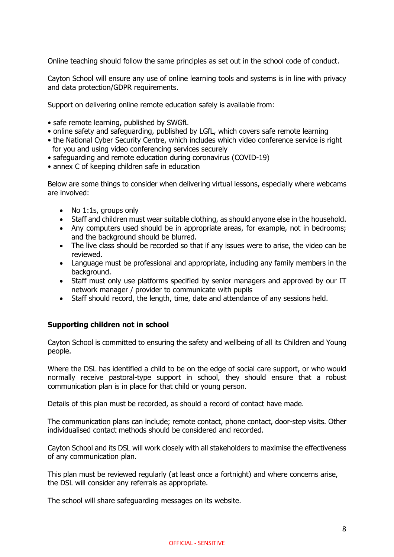Online teaching should follow the same principles as set out in the school code of conduct.

Cayton School will ensure any use of online learning tools and systems is in line with privacy and data protection/GDPR requirements.

Support on delivering online remote education safely is available from:

- safe remote learning, published by SWGfL
- online safety and safeguarding, published by LGfL, which covers safe remote learning
- the National Cyber Security Centre, which includes which video conference service is right for you and using video conferencing services securely
- safeguarding and remote education during coronavirus (COVID-19)
- annex C of keeping children safe in education

Below are some things to consider when delivering virtual lessons, especially where webcams are involved:

- No 1:1s, groups only
- Staff and children must wear suitable clothing, as should anyone else in the household.
- Any computers used should be in appropriate areas, for example, not in bedrooms; and the background should be blurred.
- The live class should be recorded so that if any issues were to arise, the video can be reviewed.
- Language must be professional and appropriate, including any family members in the background.
- Staff must only use platforms specified by senior managers and approved by our IT network manager / provider to communicate with pupils
- Staff should record, the length, time, date and attendance of any sessions held.

#### <span id="page-7-0"></span>**Supporting children not in school**

Cayton School is committed to ensuring the safety and wellbeing of all its Children and Young people.

Where the DSL has identified a child to be on the edge of social care support, or who would normally receive pastoral-type support in school, they should ensure that a robust communication plan is in place for that child or young person.

Details of this plan must be recorded, as should a record of contact have made.

The communication plans can include; remote contact, phone contact, door-step visits. Other individualised contact methods should be considered and recorded.

Cayton School and its DSL will work closely with all stakeholders to maximise the effectiveness of any communication plan.

This plan must be reviewed regularly (at least once a fortnight) and where concerns arise, the DSL will consider any referrals as appropriate.

The school will share safeguarding messages on its website.